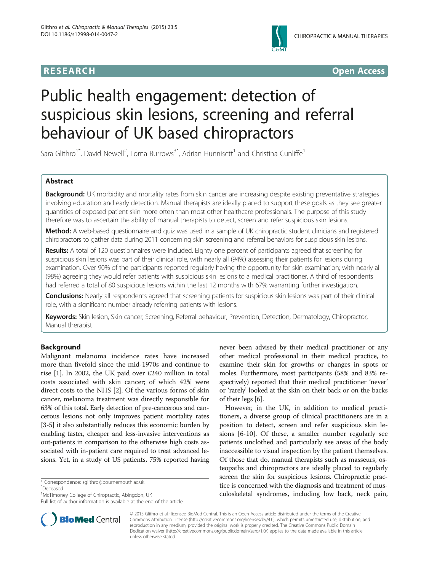



# Public health engagement: detection of suspicious skin lesions, screening and referral behaviour of UK based chiropractors

Sara Glithro<sup>1\*</sup>, David Newell<sup>2</sup>, Lorna Burrows<sup>3^</sup>, Adrian Hunnisett<sup>1</sup> and Christina Cunliffe<sup>1</sup>

# Abstract

Background: UK morbidity and mortality rates from skin cancer are increasing despite existing preventative strategies involving education and early detection. Manual therapists are ideally placed to support these goals as they see greater quantities of exposed patient skin more often than most other healthcare professionals. The purpose of this study therefore was to ascertain the ability of manual therapists to detect, screen and refer suspicious skin lesions.

Method: A web-based questionnaire and quiz was used in a sample of UK chiropractic student clinicians and registered chiropractors to gather data during 2011 concerning skin screening and referral behaviors for suspicious skin lesions.

Results: A total of 120 questionnaires were included. Eighty one percent of participants agreed that screening for suspicious skin lesions was part of their clinical role, with nearly all (94%) assessing their patients for lesions during examination. Over 90% of the participants reported regularly having the opportunity for skin examination; with nearly all (98%) agreeing they would refer patients with suspicious skin lesions to a medical practitioner. A third of respondents had referred a total of 80 suspicious lesions within the last 12 months with 67% warranting further investigation.

Conclusions: Nearly all respondents agreed that screening patients for suspicious skin lesions was part of their clinical role, with a significant number already referring patients with lesions.

Keywords: Skin lesion, Skin cancer, Screening, Referral behaviour, Prevention, Detection, Dermatology, Chiropractor, Manual therapist

# **Background**

Malignant melanoma incidence rates have increased more than fivefold since the mid-1970s and continue to rise [[1\]](#page-7-0). In 2002, the UK paid over £240 million in total costs associated with skin cancer; of which 42% were direct costs to the NHS [\[2](#page-7-0)]. Of the various forms of skin cancer, melanoma treatment was directly responsible for 63% of this total. Early detection of pre-cancerous and cancerous lesions not only improves patient mortality rates [[3-5\]](#page-7-0) it also substantially reduces this economic burden by enabling faster, cheaper and less-invasive interventions as out-patients in comparison to the otherwise high costs associated with in-patient care required to treat advanced lesions. Yet, in a study of US patients, 75% reported having

\* Correspondence: [sglithro@bournemouth.ac.uk](mailto:sglithro@bournemouth.ac.uk)

ˆDeceased

Full list of author information is available at the end of the article



However, in the UK, in addition to medical practitioners, a diverse group of clinical practitioners are in a position to detect, screen and refer suspicious skin lesions [\[6](#page-7-0)-[10\]](#page-7-0). Of these, a smaller number regularly see patients unclothed and particularly see areas of the body inaccessible to visual inspection by the patient themselves. Of those that do, manual therapists such as masseurs, osteopaths and chiropractors are ideally placed to regularly screen the skin for suspicious lesions. Chiropractic practice is concerned with the diagnosis and treatment of musculoskeletal syndromes, including low back, neck pain,



© 2015 Glithro et al.; licensee BioMed Central. This is an Open Access article distributed under the terms of the Creative Commons Attribution License [\(http://creativecommons.org/licenses/by/4.0\)](http://creativecommons.org/licenses/by/4.0), which permits unrestricted use, distribution, and reproduction in any medium, provided the original work is properly credited. The Creative Commons Public Domain Dedication waiver [\(http://creativecommons.org/publicdomain/zero/1.0/](http://creativecommons.org/publicdomain/zero/1.0/)) applies to the data made available in this article, unless otherwise stated.

<sup>&</sup>lt;sup>1</sup>McTimoney College of Chiropractic, Abingdon, UK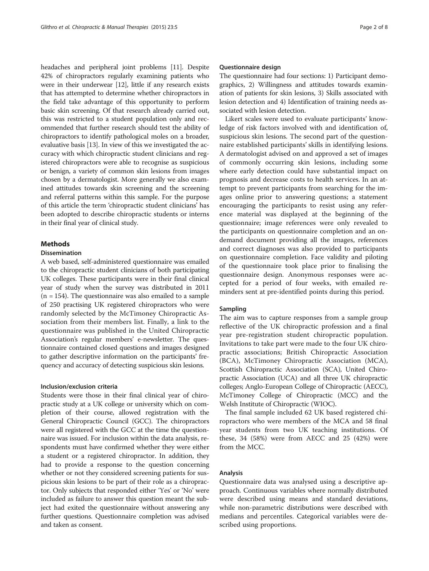headaches and peripheral joint problems [\[11\]](#page-7-0). Despite 42% of chiropractors regularly examining patients who were in their underwear [[12](#page-7-0)], little if any research exists that has attempted to determine whether chiropractors in the field take advantage of this opportunity to perform basic skin screening. Of that research already carried out, this was restricted to a student population only and recommended that further research should test the ability of chiropractors to identify pathological moles on a broader, evaluative basis [[13](#page-7-0)]. In view of this we investigated the accuracy with which chiropractic student clinicians and registered chiropractors were able to recognise as suspicious or benign, a variety of common skin lesions from images chosen by a dermatologist. More generally we also examined attitudes towards skin screening and the screening and referral patterns within this sample. For the purpose of this article the term 'chiropractic student clinicians' has been adopted to describe chiropractic students or interns in their final year of clinical study.

#### Methods

#### Dissemination

A web based, self-administered questionnaire was emailed to the chiropractic student clinicians of both participating UK colleges. These participants were in their final clinical year of study when the survey was distributed in 2011  $(n = 154)$ . The questionnaire was also emailed to a sample of 250 practising UK registered chiropractors who were randomly selected by the McTimoney Chiropractic Association from their members list. Finally, a link to the questionnaire was published in the United Chiropractic Association's regular members' e-newsletter. The questionnaire contained closed questions and images designed to gather descriptive information on the participants' frequency and accuracy of detecting suspicious skin lesions.

#### Inclusion/exclusion criteria

Students were those in their final clinical year of chiropractic study at a UK college or university which on completion of their course, allowed registration with the General Chiropractic Council (GCC). The chiropractors were all registered with the GCC at the time the questionnaire was issued. For inclusion within the data analysis, respondents must have confirmed whether they were either a student or a registered chiropractor. In addition, they had to provide a response to the question concerning whether or not they considered screening patients for suspicious skin lesions to be part of their role as a chiropractor. Only subjects that responded either 'Yes' or 'No' were included as failure to answer this question meant the subject had exited the questionnaire without answering any further questions. Questionnaire completion was advised and taken as consent.

#### Questionnaire design

The questionnaire had four sections: 1) Participant demographics, 2) Willingness and attitudes towards examination of patients for skin lesions, 3) Skills associated with lesion detection and 4) Identification of training needs associated with lesion detection.

Likert scales were used to evaluate participants' knowledge of risk factors involved with and identification of, suspicious skin lesions. The second part of the questionnaire established participants' skills in identifying lesions. A dermatologist advised on and approved a set of images of commonly occurring skin lesions, including some where early detection could have substantial impact on prognosis and decrease costs to health services. In an attempt to prevent participants from searching for the images online prior to answering questions; a statement encouraging the participants to resist using any reference material was displayed at the beginning of the questionnaire; image references were only revealed to the participants on questionnaire completion and an ondemand document providing all the images, references and correct diagnoses was also provided to participants on questionnaire completion. Face validity and piloting of the questionnaire took place prior to finalising the questionnaire design. Anonymous responses were accepted for a period of four weeks, with emailed reminders sent at pre-identified points during this period.

## Sampling

The aim was to capture responses from a sample group reflective of the UK chiropractic profession and a final year pre-registration student chiropractic population. Invitations to take part were made to the four UK chiropractic associations; British Chiropractic Association (BCA), McTimoney Chiropractic Association (MCA), Scottish Chiropractic Association (SCA), United Chiropractic Association (UCA) and all three UK chiropractic colleges; Anglo-European College of Chiropractic (AECC), McTimoney College of Chiropractic (MCC) and the Welsh Institute of Chiropractic (WIOC).

The final sample included 62 UK based registered chiropractors who were members of the MCA and 58 final year students from two UK teaching institutions. Of these, 34 (58%) were from AECC and 25 (42%) were from the MCC.

#### Analysis

Questionnaire data was analysed using a descriptive approach. Continuous variables where normally distributed were described using means and standard deviations, while non-parametric distributions were described with medians and percentiles. Categorical variables were described using proportions.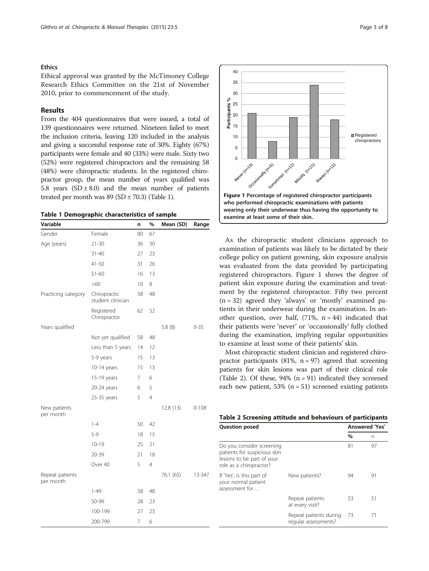#### **Ethics**

Ethical approval was granted by the McTimoney College Research Ethics Committee on the 21st of November 2010, prior to commencement of the study.

## Results

From the 404 questionnaires that were issued, a total of 139 questionnaires were returned. Nineteen failed to meet the inclusion criteria, leaving 120 included in the analysis and giving a successful response rate of 30%. Eighty (67%) participants were female and 40 (33%) were male. Sixty two (52%) were registered chiropractors and the remaining 58 (48%) were chiropractic students. In the registered chiropractor group, the mean number of years qualified was 5.8 years  $(SD \pm 8.0)$  and the mean number of patients treated per month was  $89$  (SD  $\pm$  70.3) (Table 1).

|  |  |  | Table 1 Demographic characteristics of sample |  |  |
|--|--|--|-----------------------------------------------|--|--|
|--|--|--|-----------------------------------------------|--|--|

| Variable                     |                                   | n               | %              | Mean (SD) | Range     |
|------------------------------|-----------------------------------|-----------------|----------------|-----------|-----------|
| Gender                       | Female                            | 80              | 67             |           |           |
| Age (years)                  | $21 - 30$                         | 36              | 30             |           |           |
|                              | $31 - 40$                         | 27              | 23             |           |           |
|                              | 41-50                             | 31              | 26             |           |           |
|                              | $51 - 60$                         | 16              | 13             |           |           |
|                              | $>60$                             | 10 <sup>°</sup> | 8              |           |           |
| Practicing category          | Chiropractic<br>student clinician | 58              | 48             |           |           |
|                              | Registered<br>Chiropractor        | 62              | 52             |           |           |
| Years qualified              |                                   |                 |                | 5.8(8)    | $0 - 35$  |
|                              | Not yet qualified                 | 58              | 48             |           |           |
|                              | Less than 5 years                 | 14              | 12             |           |           |
|                              | 5-9 years                         | 15              | 13             |           |           |
|                              | 10-14 years                       | 15              | 13             |           |           |
|                              | 15-19 years                       | 7               | 6              |           |           |
|                              | 20-24 years                       | 6               | 5              |           |           |
|                              | 25-35 years                       | 5               | $\overline{4}$ |           |           |
| New patients<br>per month    |                                   |                 |                | 12.8(13)  | $0 - 108$ |
|                              | $1 - 4$                           | 50              | 42             |           |           |
|                              | $5-9$                             | 18              | 15             |           |           |
|                              | $10 - 19$                         | 25              | 21             |           |           |
|                              | $20 - 39$                         | 21              | 18             |           |           |
|                              | Over 40                           | 5               | $\overline{4}$ |           |           |
| Repeat patients<br>per month |                                   |                 |                | 76.1 (65) | 13-347    |
|                              | $1 - 49$                          | 58              | 48             |           |           |
|                              | 50-99                             | 28              | 23             |           |           |
|                              | 100-199                           | 27              | 23             |           |           |
|                              | 200-799                           | 7               | 6              |           |           |



As the chiropractic student clinicians approach to examination of patients was likely to be dictated by their college policy on patient gowning, skin exposure analysis was evaluated from the data provided by participating registered chiropractors. Figure 1 shows the degree of patient skin exposure during the examination and treatment by the registered chiropractor. Fifty two percent  $(n = 32)$  agreed they 'always' or 'mostly' examined patients in their underwear during the examination. In another question, over half,  $(71\%, n = 44)$  indicated that their patients were 'never' or 'occassionally' fully clothed during the examination, implying regular opportunities to examine at least some of their patients' skin.

Most chiropractic student clinician and registered chiropractor participants (81%,  $n = 97$ ) agreed that screening patients for skin lesions was part of their clinical role (Table 2). Of these,  $94\%$  (n = 91) indicated they screened each new patient,  $53\%$  (n = 51) screened existing patients

| Table 2 Screening attitude and behaviours of participants |  |  |  |  |  |
|-----------------------------------------------------------|--|--|--|--|--|
|-----------------------------------------------------------|--|--|--|--|--|

| <b>Question posed</b>                                                                                              |                                                |      | <b>Answered 'Yes'</b> |
|--------------------------------------------------------------------------------------------------------------------|------------------------------------------------|------|-----------------------|
|                                                                                                                    |                                                | $\%$ | n                     |
| Do you consider screening<br>patients for suspicious skin<br>lesions to be part of your<br>role as a chiropractor? |                                                | 81   | 97                    |
| If 'Yes', is this part of<br>your normal patient<br>assessment for                                                 | New patients?                                  | 94   | 91                    |
|                                                                                                                    | Repeat patients<br>at every visit?             | 53   | 51                    |
|                                                                                                                    | Repeat patients during<br>regular assessments? | 73   | 71                    |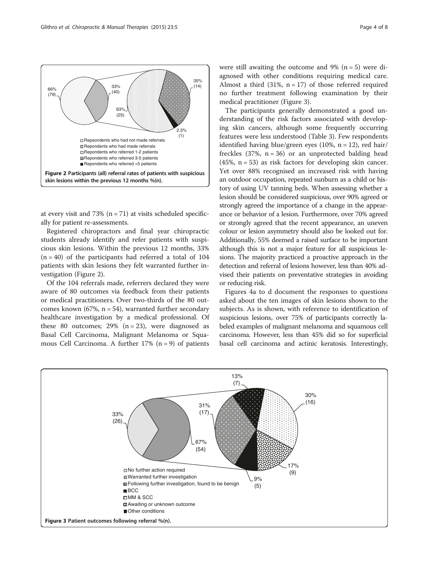

at every visit and 73%  $(n = 71)$  at visits scheduled specifically for patient re-assessments.

Registered chiropractors and final year chiropractic students already identify and refer patients with suspicious skin lesions. Within the previous 12 months, 33%  $(n = 40)$  of the participants had referred a total of 104 patients with skin lesions they felt warranted further investigation (Figure 2).

Of the 104 referrals made, referrers declared they were aware of 80 outcomes via feedback from their patients or medical practitioners. Over two-thirds of the 80 outcomes known (67%,  $n = 54$ ), warranted further secondary healthcare investigation by a medical professional. Of these 80 outcomes; 29%  $(n = 23)$ , were diagnosed as Basal Cell Carcinoma, Malignant Melanoma or Squamous Cell Carcinoma. A further  $17\%$  (n = 9) of patients

were still awaiting the outcome and 9%  $(n = 5)$  were diagnosed with other conditions requiring medical care. Almost a third  $(31\% , n = 17)$  of those referred required no further treatment following examination by their medical practitioner (Figure 3).

The participants generally demonstrated a good understanding of the risk factors associated with developing skin cancers, although some frequently occurring features were less understood (Table [3\)](#page-4-0). Few respondents identified having blue/green eyes (10%,  $n = 12$ ), red hair/ freckles  $(37\% , n = 36)$  or an unprotected balding head (45%,  $n = 53$ ) as risk factors for developing skin cancer. Yet over 88% recognised an increased risk with having an outdoor occupation, repeated sunburn as a child or history of using UV tanning beds. When assessing whether a lesion should be considered suspicious, over 90% agreed or strongly agreed the importance of a change in the appearance or behavior of a lesion. Furthermore, over 70% agreed or strongly agreed that the recent appearance, an uneven colour or lesion asymmetry should also be looked out for. Additionally, 55% deemed a raised surface to be important although this is not a major feature for all suspicious lesions. The majority practiced a proactive approach in the detection and referral of lesions however, less than 40% advised their patients on preventative strategies in avoiding or reducing risk.

Figures [4](#page-6-0)a to d document the responses to questions asked about the ten images of skin lesions shown to the subjects. As is shown, with reference to identification of suspicious lesions, over 75% of participants correctly labeled examples of malignant melanoma and squamous cell carcinoma. However, less than 45% did so for superficial basal cell carcinoma and actinic keratosis. Interestingly,

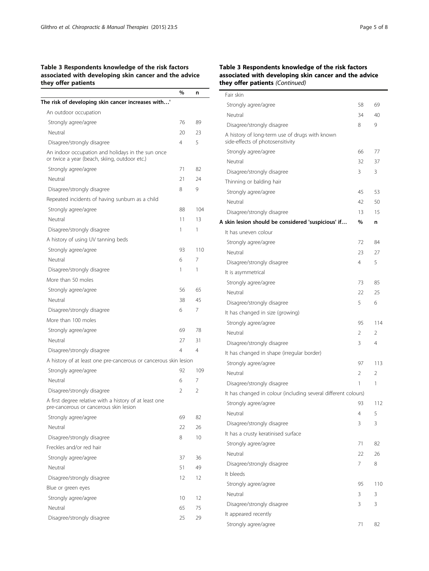# <span id="page-4-0"></span>Table 3 Respondents knowledge of the risk factors associated with developing skin cancer and the advice they offer patients

|                                                                                                    | %              | n   |
|----------------------------------------------------------------------------------------------------|----------------|-----|
| The risk of developing skin cancer increases with'                                                 |                |     |
| An outdoor occupation                                                                              |                |     |
| Strongly agree/agree                                                                               | 76             | 89  |
| Neutral                                                                                            | 20             | 23  |
| Disagree/strongly disagree                                                                         | $\overline{4}$ | 5   |
| An indoor occupation and holidays in the sun once<br>or twice a year (beach, skiing, outdoor etc.) |                |     |
| Strongly agree/agree                                                                               | 71             | 82  |
| Neutral                                                                                            | 21             | 24  |
| Disagree/strongly disagree                                                                         | 8              | 9   |
| Repeated incidents of having sunburn as a child                                                    |                |     |
| Strongly agree/agree                                                                               | 88             | 104 |
| Neutral                                                                                            | 11             | 13  |
| Disagree/strongly disagree                                                                         | 1              | 1   |
| A history of using UV tanning beds                                                                 |                |     |
| Strongly agree/agree                                                                               | 93             | 110 |
| Neutral                                                                                            | 6              | 7   |
| Disagree/strongly disagree                                                                         | 1              | 1   |
| More than 50 moles                                                                                 |                |     |
| Strongly agree/agree                                                                               | 56             | 65  |
| Neutral                                                                                            | 38             | 45  |
| Disagree/strongly disagree                                                                         | 6              | 7   |
| More than 100 moles                                                                                |                |     |
| Strongly agree/agree                                                                               | 69             | 78  |
| Neutral                                                                                            | 27             | 31  |
| Disagree/strongly disagree                                                                         | 4              | 4   |
| A history of at least one pre-cancerous or cancerous skin lesion                                   |                |     |
| Strongly agree/agree                                                                               | 92             | 109 |
| Neutral                                                                                            | 6              | 7   |
| Disagree/strongly disagree                                                                         | 2              | 2   |
| A first degree relative with a history of at least one<br>pre-cancerous or cancerous skin lesion   |                |     |
| Strongly agree/agree                                                                               | 69             | 82  |
| Neutral                                                                                            | 22             | 26  |
| Disagree/strongly disagree                                                                         | 8              | 10  |
| Freckles and/or red hair                                                                           |                |     |
| Strongly agree/agree                                                                               | 37             | 36  |
| Neutral                                                                                            | 51             | 49  |
| Disagree/strongly disagree                                                                         | 12             | 12  |
| Blue or green eyes                                                                                 |                |     |
| Strongly agree/agree                                                                               | 10             | 12  |
| Neutral                                                                                            | 65             | 75  |
| Disagree/strongly disagree                                                                         | 25             | 29  |

# Table 3 Respondents knowledge of the risk factors associated with developing skin cancer and the advice they offer patients (Continued)

j,

| Fair skin                                                                          |                |                |
|------------------------------------------------------------------------------------|----------------|----------------|
| Strongly agree/agree                                                               | 58             | 69             |
| Neutral                                                                            | 34             | 40             |
| Disagree/strongly disagree                                                         | 8              | 9              |
| A history of long-term use of drugs with known<br>side-effects of photosensitivity |                |                |
| Strongly agree/agree                                                               | 66             | 77             |
| Neutral                                                                            | 32             | 37             |
| Disagree/strongly disagree                                                         | 3              | 3              |
| Thinning or balding hair                                                           |                |                |
| Strongly agree/agree                                                               | 45             | 53             |
| Neutral                                                                            | 42             | 50             |
| Disagree/strongly disagree                                                         | 13             | 15             |
| A skin lesion should be considered 'suspicious' if                                 | $\frac{0}{0}$  | n              |
| It has uneven colour                                                               |                |                |
| Strongly agree/agree                                                               | 72             | 84             |
| Neutral                                                                            | 23             | 27             |
| Disagree/strongly disagree                                                         | 4              | 5              |
| It is asymmetrical                                                                 |                |                |
| Strongly agree/agree                                                               | 73             | 85             |
| Neutral                                                                            | 22             | 25             |
| Disagree/strongly disagree                                                         | 5              | 6              |
| It has changed in size (growing)                                                   |                |                |
| Strongly agree/agree                                                               | 95             | 114            |
| Neutral                                                                            | 2              | 2              |
| Disagree/strongly disagree                                                         | 3              | 4              |
| It has changed in shape (irregular border)                                         |                |                |
| Strongly agree/agree                                                               | 97             | 113            |
| Neutral                                                                            | $\mathfrak{D}$ | $\mathfrak{D}$ |
| Disagree/strongly disagree                                                         | 1              | 1              |
| It has changed in colour (including several different colours)                     |                |                |
| Strongly agree/agree                                                               | 93             | 112            |
| Neutral                                                                            | 4              | 5              |
| Disagree/strongly disagree                                                         | 3              | 3              |
| It has a crusty keratinised surface                                                |                |                |
| Strongly agree/agree                                                               | 71             | 82             |
| Neutral                                                                            | 22             | 26             |
| Disagree/strongly disagree                                                         | 7              | 8              |
| It bleeds                                                                          |                |                |
| Strongly agree/agree                                                               | 95             | 110            |
| Neutral                                                                            | 3              | 3              |
| Disagree/strongly disagree                                                         | 3              | 3              |
| It appeared recently                                                               |                |                |
| Strongly agree/agree                                                               | 71             | 82             |
|                                                                                    |                |                |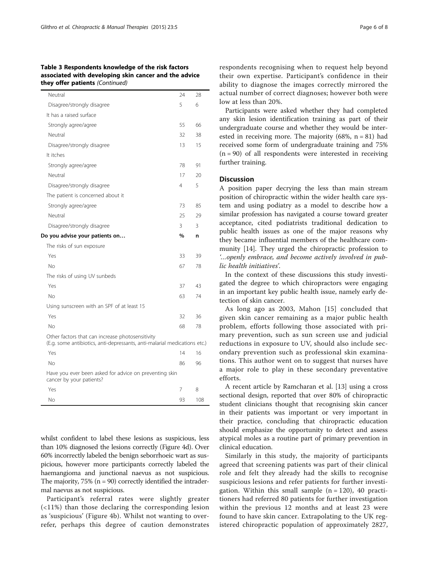#### Table 3 Respondents knowledge of the risk factors associated with developing skin cancer and the advice they offer patients (Continued)

| Neutral<br>28<br>24<br>5<br>Disagree/strongly disagree<br>6<br>It has a raised surface<br>55<br>Strongly agree/agree<br>66<br>Neutral<br>32<br>38<br>15<br>Disagree/strongly disagree<br>13<br>It itches<br>78<br>91<br>Strongly agree/agree<br>Neutral<br>17<br>20<br>5<br>Disagree/strongly disagree<br>4<br>The patient is concerned about it<br>Strongly agree/agree<br>73<br>85<br>Neutral<br>25<br>29<br>3<br>Disagree/strongly disagree<br>3<br>%<br>Do you advise your patients on<br>n<br>The risks of sun exposure<br>Yes<br>33<br>39<br>No<br>67<br>78<br>The risks of using UV sunbeds<br>Yes<br>37<br>43<br><b>No</b><br>74<br>63<br>Using sunscreen with an SPF of at least 15<br>Yes<br>32<br>36<br><b>No</b><br>68<br>78<br>Other factors that can increase photosensitivity<br>(E.g. some antibiotics, anti-depressants, anti-malarial medications etc.) |  |  |
|---------------------------------------------------------------------------------------------------------------------------------------------------------------------------------------------------------------------------------------------------------------------------------------------------------------------------------------------------------------------------------------------------------------------------------------------------------------------------------------------------------------------------------------------------------------------------------------------------------------------------------------------------------------------------------------------------------------------------------------------------------------------------------------------------------------------------------------------------------------------------|--|--|
|                                                                                                                                                                                                                                                                                                                                                                                                                                                                                                                                                                                                                                                                                                                                                                                                                                                                           |  |  |
|                                                                                                                                                                                                                                                                                                                                                                                                                                                                                                                                                                                                                                                                                                                                                                                                                                                                           |  |  |
|                                                                                                                                                                                                                                                                                                                                                                                                                                                                                                                                                                                                                                                                                                                                                                                                                                                                           |  |  |
|                                                                                                                                                                                                                                                                                                                                                                                                                                                                                                                                                                                                                                                                                                                                                                                                                                                                           |  |  |
|                                                                                                                                                                                                                                                                                                                                                                                                                                                                                                                                                                                                                                                                                                                                                                                                                                                                           |  |  |
|                                                                                                                                                                                                                                                                                                                                                                                                                                                                                                                                                                                                                                                                                                                                                                                                                                                                           |  |  |
|                                                                                                                                                                                                                                                                                                                                                                                                                                                                                                                                                                                                                                                                                                                                                                                                                                                                           |  |  |
|                                                                                                                                                                                                                                                                                                                                                                                                                                                                                                                                                                                                                                                                                                                                                                                                                                                                           |  |  |
|                                                                                                                                                                                                                                                                                                                                                                                                                                                                                                                                                                                                                                                                                                                                                                                                                                                                           |  |  |
|                                                                                                                                                                                                                                                                                                                                                                                                                                                                                                                                                                                                                                                                                                                                                                                                                                                                           |  |  |
|                                                                                                                                                                                                                                                                                                                                                                                                                                                                                                                                                                                                                                                                                                                                                                                                                                                                           |  |  |
|                                                                                                                                                                                                                                                                                                                                                                                                                                                                                                                                                                                                                                                                                                                                                                                                                                                                           |  |  |
|                                                                                                                                                                                                                                                                                                                                                                                                                                                                                                                                                                                                                                                                                                                                                                                                                                                                           |  |  |
|                                                                                                                                                                                                                                                                                                                                                                                                                                                                                                                                                                                                                                                                                                                                                                                                                                                                           |  |  |
|                                                                                                                                                                                                                                                                                                                                                                                                                                                                                                                                                                                                                                                                                                                                                                                                                                                                           |  |  |
|                                                                                                                                                                                                                                                                                                                                                                                                                                                                                                                                                                                                                                                                                                                                                                                                                                                                           |  |  |
|                                                                                                                                                                                                                                                                                                                                                                                                                                                                                                                                                                                                                                                                                                                                                                                                                                                                           |  |  |
|                                                                                                                                                                                                                                                                                                                                                                                                                                                                                                                                                                                                                                                                                                                                                                                                                                                                           |  |  |
|                                                                                                                                                                                                                                                                                                                                                                                                                                                                                                                                                                                                                                                                                                                                                                                                                                                                           |  |  |
|                                                                                                                                                                                                                                                                                                                                                                                                                                                                                                                                                                                                                                                                                                                                                                                                                                                                           |  |  |
|                                                                                                                                                                                                                                                                                                                                                                                                                                                                                                                                                                                                                                                                                                                                                                                                                                                                           |  |  |
|                                                                                                                                                                                                                                                                                                                                                                                                                                                                                                                                                                                                                                                                                                                                                                                                                                                                           |  |  |
|                                                                                                                                                                                                                                                                                                                                                                                                                                                                                                                                                                                                                                                                                                                                                                                                                                                                           |  |  |
|                                                                                                                                                                                                                                                                                                                                                                                                                                                                                                                                                                                                                                                                                                                                                                                                                                                                           |  |  |
|                                                                                                                                                                                                                                                                                                                                                                                                                                                                                                                                                                                                                                                                                                                                                                                                                                                                           |  |  |

Yes 14 16 No 86 96 Have you ever been asked for advice on preventing skin cancer by your patients? Yes 7 8

No 93 108

whilst confident to label these lesions as suspicious, less than 10% diagnosed the lesions correctly (Figure [4d](#page-6-0)). Over 60% incorrectly labeled the benign seborrhoeic wart as suspicious, however more participants correctly labeled the haemangioma and junctional naevus as not suspicious. The majority,  $75\%$  (n = 90) correctly identified the intradermal naevus as not suspicious.

Participant's referral rates were slightly greater (<11%) than those declaring the corresponding lesion as 'suspicious' (Figure [4](#page-6-0)b). Whilst not wanting to overrefer, perhaps this degree of caution demonstrates

respondents recognising when to request help beyond their own expertise. Participant's confidence in their ability to diagnose the images correctly mirrored the actual number of correct diagnoses; however both were low at less than 20%.

Participants were asked whether they had completed any skin lesion identification training as part of their undergraduate course and whether they would be interested in receiving more. The majority  $(68\%, n = 81)$  had received some form of undergraduate training and 75%  $(n = 90)$  of all respondents were interested in receiving further training.

# **Discussion**

A position paper decrying the less than main stream position of chiropractic within the wider health care system and using podiatry as a model to describe how a similar profession has navigated a course toward greater acceptance, cited podiatrists traditional dedication to public health issues as one of the major reasons why they became influential members of the healthcare community [\[14](#page-7-0)]. They urged the chiropractic profession to '…openly embrace, and become actively involved in public health initiatives'.

In the context of these discussions this study investigated the degree to which chiropractors were engaging in an important key public health issue, namely early detection of skin cancer.

As long ago as 2003, Mahon [[15](#page-7-0)] concluded that given skin cancer remaining as a major public health problem, efforts following those associated with primary prevention, such as sun screen use and judicial reductions in exposure to UV, should also include secondary prevention such as professional skin examinations. This author went on to suggest that nurses have a major role to play in these secondary preventative efforts.

A recent article by Ramcharan et al. [[13\]](#page-7-0) using a cross sectional design, reported that over 80% of chiropractic student clinicians thought that recognising skin cancer in their patients was important or very important in their practice, concluding that chiropractic education should emphasize the opportunity to detect and assess atypical moles as a routine part of primary prevention in clinical education.

Similarly in this study, the majority of participants agreed that screening patients was part of their clinical role and felt they already had the skills to recognise suspicious lesions and refer patients for further investigation. Within this small sample  $(n = 120)$ , 40 practitioners had referred 80 patients for further investigation within the previous 12 months and at least 23 were found to have skin cancer. Extrapolating to the UK registered chiropractic population of approximately 2827,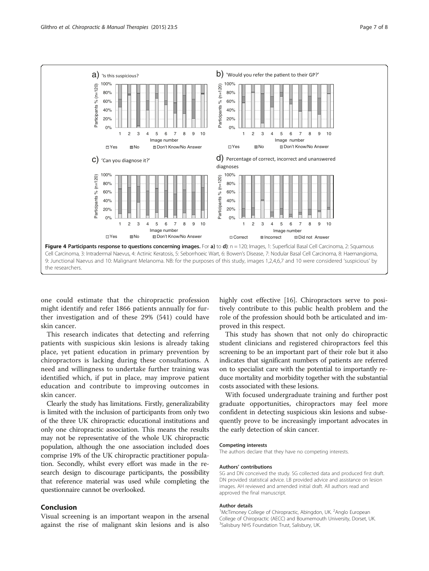<span id="page-6-0"></span>

one could estimate that the chiropractic profession might identify and refer 1866 patients annually for further investigation and of these 29% (541) could have skin cancer.

This research indicates that detecting and referring patients with suspicious skin lesions is already taking place, yet patient education in primary prevention by chiropractors is lacking during these consultations. A need and willingness to undertake further training was identified which, if put in place, may improve patient education and contribute to improving outcomes in skin cancer.

Clearly the study has limitations. Firstly, generalizability is limited with the inclusion of participants from only two of the three UK chiropractic educational institutions and only one chiropractic association. This means the results may not be representative of the whole UK chiropractic population, although the one association included does comprise 19% of the UK chiropractic practitioner population. Secondly, whilst every effort was made in the research design to discourage participants, the possibility that reference material was used while completing the questionnaire cannot be overlooked.

# Conclusion

Visual screening is an important weapon in the arsenal against the rise of malignant skin lesions and is also highly cost effective [[16](#page-7-0)]. Chiropractors serve to positively contribute to this public health problem and the role of the profession should both be articulated and improved in this respect.

This study has shown that not only do chiropractic student clinicians and registered chiropractors feel this screening to be an important part of their role but it also indicates that significant numbers of patients are referred on to specialist care with the potential to importantly reduce mortality and morbidity together with the substantial costs associated with these lesions.

With focused undergraduate training and further post graduate opportunities, chiropractors may feel more confident in detecting suspicious skin lesions and subsequently prove to be increasingly important advocates in the early detection of skin cancer.

#### Competing interests

The authors declare that they have no competing interests.

#### Authors' contributions

SG and DN conceived the study. SG collected data and produced first draft. DN provided statistical advice. LB provided advice and assistance on lesion images. AH reviewed and amended initial draft. All authors read and approved the final manuscript.

#### Author details

<sup>1</sup>McTimoney College of Chiropractic, Abingdon, UK. <sup>2</sup>Anglo European College of Chiropractic (AECC) and Bournemouth University, Dorset, UK. <sup>3</sup>Salisbury NHS Foundation Trust, Salisbury, UK